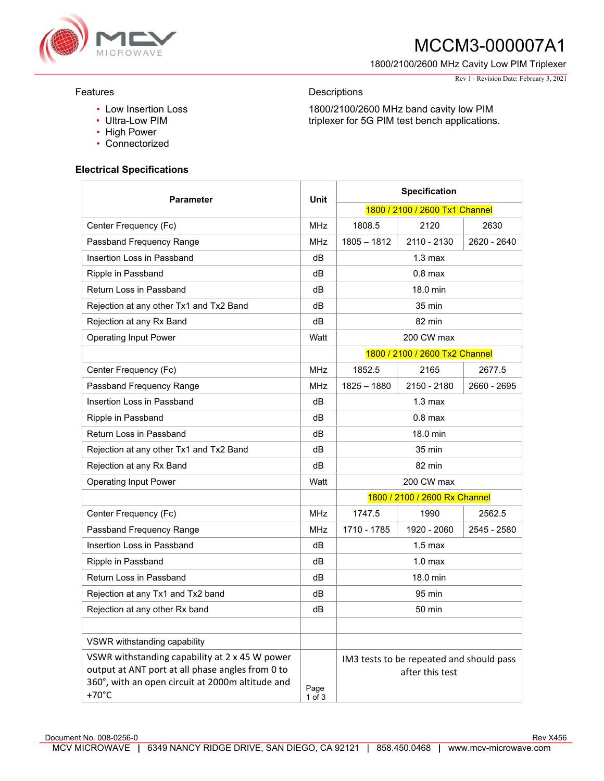

# MCCM3-000007A1

1800/2100/2600 MHz Cavity Low PIM Triplexer

Rev 1– Revision Date: February 3, 2021

### Features

- Low Insertion Loss
- Ultra-Low PIM
- High Power
- Connectorized

#### **Electrical Specifications**

| <b>Parameter</b>                                                    | Unit               | <b>Specification</b>                     |                                |             |
|---------------------------------------------------------------------|--------------------|------------------------------------------|--------------------------------|-------------|
|                                                                     |                    | 1800 / 2100 / 2600 Tx1 Channel           |                                |             |
| Center Frequency (Fc)                                               | MHz                | 1808.5                                   | 2120                           | 2630        |
| Passband Frequency Range                                            | MH <sub>7</sub>    | $1805 - 1812$                            | 2110 - 2130                    | 2620 - 2640 |
| Insertion Loss in Passband                                          | dB                 |                                          | 1.3 <sub>max</sub>             |             |
| Ripple in Passband                                                  | dB                 |                                          | $0.8$ max                      |             |
| Return Loss in Passband                                             | dB                 | 18.0 min                                 |                                |             |
| Rejection at any other Tx1 and Tx2 Band                             | dB                 | $35 \text{ min}$                         |                                |             |
| Rejection at any Rx Band                                            | dВ                 | 82 min                                   |                                |             |
| <b>Operating Input Power</b>                                        | Watt               | 200 CW max                               |                                |             |
|                                                                     |                    |                                          | 1800 / 2100 / 2600 Tx2 Channel |             |
| Center Frequency (Fc)                                               | <b>MHz</b>         | 1852.5                                   | 2165                           | 2677.5      |
| Passband Frequency Range                                            | <b>MHz</b>         | $1825 - 1880$                            | 2150 - 2180                    | 2660 - 2695 |
| Insertion Loss in Passband                                          | dB                 | $1.3 \text{ max}$                        |                                |             |
| Ripple in Passband                                                  | dB                 | $0.8$ max                                |                                |             |
| Return Loss in Passband                                             | dВ                 | 18.0 min                                 |                                |             |
| Rejection at any other Tx1 and Tx2 Band                             | dB                 | 35 min                                   |                                |             |
| Rejection at any Rx Band                                            | dВ                 | 82 min                                   |                                |             |
| <b>Operating Input Power</b>                                        | Watt               | 200 CW max                               |                                |             |
|                                                                     |                    |                                          | 1800 / 2100 / 2600 Rx Channel  |             |
| Center Frequency (Fc)                                               | <b>MHz</b>         | 1747.5                                   | 1990                           | 2562.5      |
| Passband Frequency Range                                            | <b>MHz</b>         | 1710 - 1785                              | 1920 - 2060                    | 2545 - 2580 |
| Insertion Loss in Passband                                          | dB                 | $1.5 \text{ max}$                        |                                |             |
| Ripple in Passband                                                  | dB                 | 1.0 <sub>max</sub>                       |                                |             |
| Return Loss in Passband                                             | dB                 | 18.0 min                                 |                                |             |
| Rejection at any Tx1 and Tx2 band                                   | dB                 | 95 min                                   |                                |             |
| Rejection at any other Rx band                                      | dB                 | 50 min                                   |                                |             |
|                                                                     |                    |                                          |                                |             |
| VSWR withstanding capability                                        |                    |                                          |                                |             |
| VSWR withstanding capability at 2 x 45 W power                      |                    | IM3 tests to be repeated and should pass |                                |             |
| output at ANT port at all phase angles from 0 to                    |                    |                                          | after this test                |             |
| 360°, with an open circuit at 2000m altitude and<br>$+70^{\circ}$ C | Page<br>$1$ of $3$ |                                          |                                |             |

**Descriptions** 

1800/2100/2600 MHz band cavity low PIM triplexer for 5G PIM test bench applications.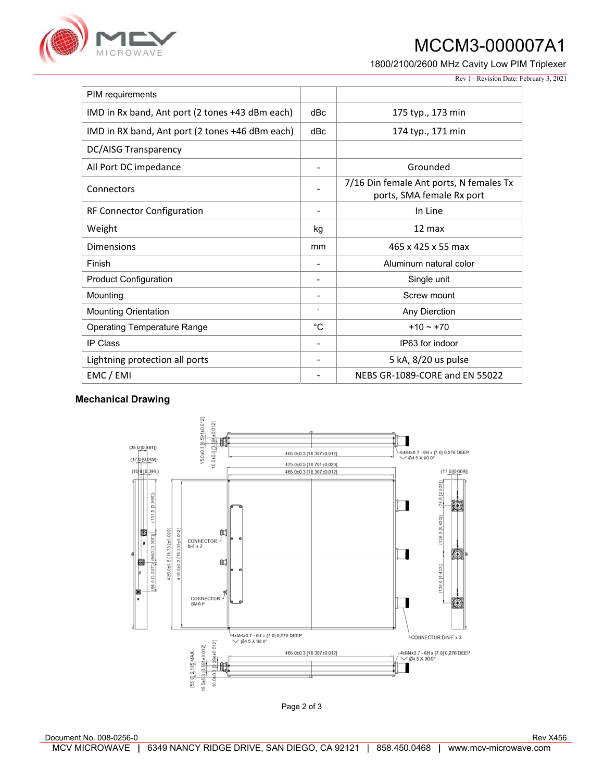## MCCM3-000007A1

1800/2100/2600 MHz Cavity Low PIM Triplexer



#### Rev 1– Revision Date: February 3, 2021

| PIM requirements                                |     |                                                                      |  |
|-------------------------------------------------|-----|----------------------------------------------------------------------|--|
| IMD in Rx band, Ant port (2 tones +43 dBm each) | dBc | 175 typ., 173 min                                                    |  |
| IMD in RX band, Ant port (2 tones +46 dBm each) | dBc | 174 typ., 171 min                                                    |  |
| DC/AISG Transparency                            |     |                                                                      |  |
| All Port DC impedance                           |     | Grounded                                                             |  |
| Connectors                                      |     | 7/16 Din female Ant ports, N females Tx<br>ports, SMA female Rx port |  |
| RF Connector Configuration                      |     | In Line                                                              |  |
| Weight                                          | kg  | $12 \text{ max}$                                                     |  |
| Dimensions                                      | mm  | 465 x 425 x 55 max                                                   |  |
| Finish                                          |     | Aluminum natural color                                               |  |
| <b>Product Configuration</b>                    |     | Single unit                                                          |  |
| Mounting                                        |     | Screw mount                                                          |  |
| <b>Mounting Orientation</b>                     | ٠   | Any Dierction                                                        |  |
| <b>Operating Temperature Range</b>              | °C  | $+10 - +70$                                                          |  |
| IP Class                                        |     | IP63 for indoor                                                      |  |
| Lightning protection all ports                  |     | 5 kA, 8/20 us pulse                                                  |  |
| EMC / EMI                                       |     | NEBS GR-1089-CORE and EN 55022                                       |  |

#### **Mechanical Drawing**